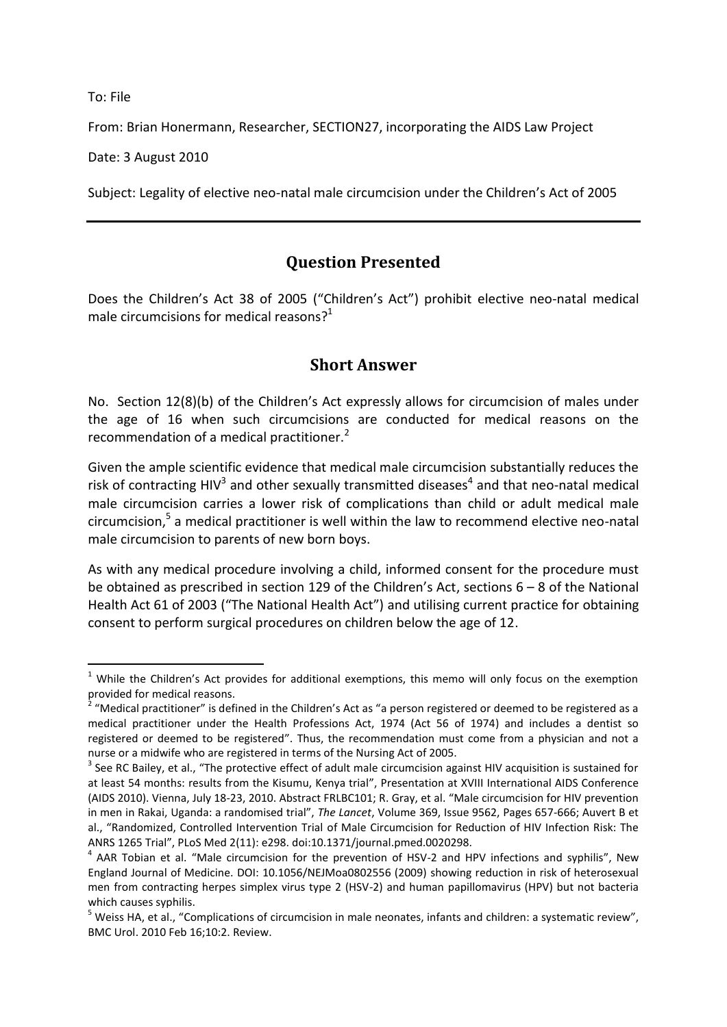To: File

-

From: Brian Honermann, Researcher, SECTION27, incorporating the AIDS Law Project

Date: 3 August 2010

Subject: Legality of elective neo-natal male circumcision under the Children's Act of 2005

# **Question Presented**

Does the Children's Act 38 of 2005 ("Children's Act") prohibit elective neo-natal medical male circumcisions for medical reasons?<sup>1</sup>

### **Short Answer**

No. Section 12(8)(b) of the Children's Act expressly allows for circumcision of males under the age of 16 when such circumcisions are conducted for medical reasons on the recommendation of a medical practitioner.<sup>2</sup>

Given the ample scientific evidence that medical male circumcision substantially reduces the risk of contracting HIV<sup>3</sup> and other sexually transmitted diseases<sup>4</sup> and that neo-natal medical male circumcision carries a lower risk of complications than child or adult medical male circumcision, 5 a medical practitioner is well within the law to recommend elective neo-natal male circumcision to parents of new born boys.

As with any medical procedure involving a child, informed consent for the procedure must be obtained as prescribed in section 129 of the Children's Act, sections 6 – 8 of the National Health Act 61 of 2003 ("The National Health Act") and utilising current practice for obtaining consent to perform surgical procedures on children below the age of 12.

<sup>&</sup>lt;sup>1</sup> While the Children's Act provides for additional exemptions, this memo will only focus on the exemption provided for medical reasons.<br><sup>2</sup> "Medical practitioner" is def-

 $^2$  "Medical practitioner" is defined in the Children's Act as "a person registered or deemed to be registered as a medical practitioner under the Health Professions Act, 1974 (Act 56 of 1974) and includes a dentist so registered or deemed to be registered". Thus, the recommendation must come from a physician and not a nurse or a midwife who are registered in terms of the Nursing Act of 2005.

 $3$  See RC Bailey, et al., "The protective effect of adult male circumcision against HIV acquisition is sustained for at least 54 months: results from the Kisumu, Kenya trial", Presentation at XVIII International AIDS Conference (AIDS 2010). Vienna, July 18-23, 2010. Abstract FRLBC101; R. Gray, et al. "Male circumcision for HIV prevention in men in Rakai, Uganda: a randomised trial", *The Lancet*, Volume 369, Issue 9562, Pages 657-666; Auvert B et al., "Randomized, Controlled Intervention Trial of Male Circumcision for Reduction of HIV Infection Risk: The ANRS 1265 Trial", PLoS Med 2(11): e298. doi:10.1371/journal.pmed.0020298.

<sup>&</sup>lt;sup>4</sup> AAR Tobian et al. "Male circumcision for the prevention of HSV-2 and HPV infections and syphilis", New England Journal of Medicine. DOI: 10.1056/NEJMoa0802556 (2009) showing reduction in risk of heterosexual men from contracting herpes simplex virus type 2 (HSV-2) and human papillomavirus (HPV) but not bacteria which causes syphilis.

<sup>&</sup>lt;sup>5</sup> Weiss HA, et al., "Complications of circumcision in male neonates, infants and children: a systematic review", BMC Urol. 2010 Feb 16;10:2. Review.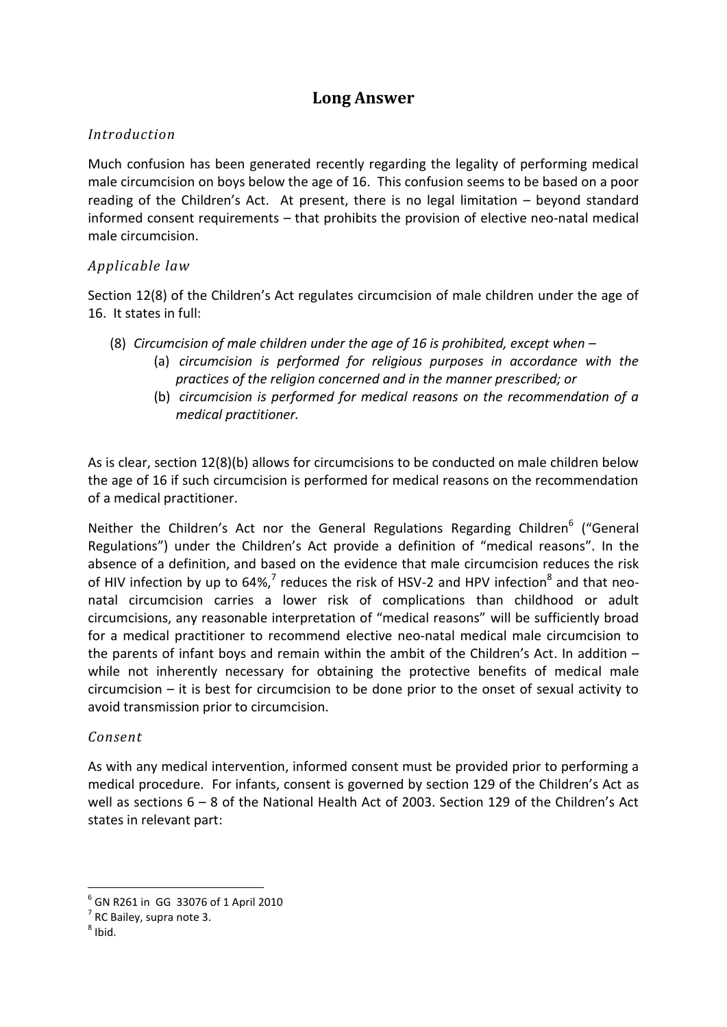## **Long Answer**

### *Introduction*

Much confusion has been generated recently regarding the legality of performing medical male circumcision on boys below the age of 16. This confusion seems to be based on a poor reading of the Children's Act. At present, there is no legal limitation – beyond standard informed consent requirements – that prohibits the provision of elective neo-natal medical male circumcision.

### *Applicable law*

Section 12(8) of the Children's Act regulates circumcision of male children under the age of 16. It states in full:

- (8) *Circumcision of male children under the age of 16 is prohibited, except when –*
	- (a) *circumcision is performed for religious purposes in accordance with the practices of the religion concerned and in the manner prescribed; or*
	- (b) *circumcision is performed for medical reasons on the recommendation of a medical practitioner.*

As is clear, section 12(8)(b) allows for circumcisions to be conducted on male children below the age of 16 if such circumcision is performed for medical reasons on the recommendation of a medical practitioner.

Neither the Children's Act nor the General Regulations Regarding Children<sup>6</sup> ("General Regulations") under the Children's Act provide a definition of "medical reasons". In the absence of a definition, and based on the evidence that male circumcision reduces the risk of HIV infection by up to 64%,<sup>7</sup> reduces the risk of HSV-2 and HPV infection<sup>8</sup> and that neonatal circumcision carries a lower risk of complications than childhood or adult circumcisions, any reasonable interpretation of "medical reasons" will be sufficiently broad for a medical practitioner to recommend elective neo-natal medical male circumcision to the parents of infant boys and remain within the ambit of the Children's Act. In addition – while not inherently necessary for obtaining the protective benefits of medical male circumcision – it is best for circumcision to be done prior to the onset of sexual activity to avoid transmission prior to circumcision.

#### *Consent*

As with any medical intervention, informed consent must be provided prior to performing a medical procedure. For infants, consent is governed by section 129 of the Children's Act as well as sections 6 – 8 of the National Health Act of 2003. Section 129 of the Children's Act states in relevant part:

1

<sup>6</sup> GN R261 in GG 33076 of 1 April 2010

 $<sup>7</sup>$  RC Bailey, supra note 3.</sup>

<sup>8</sup> Ibid.